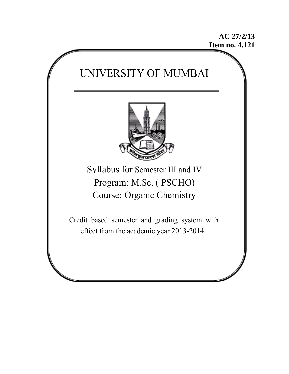**AC 27/2/13 Item no. 4.121** 

# UNIVERSITY OF MUMBAI



Syllabus for Semester III and IV Program: M.Sc. ( PSCHO) Course: Organic Chemistry

 Credit based semester and grading system with effect from the academic year 2013-2014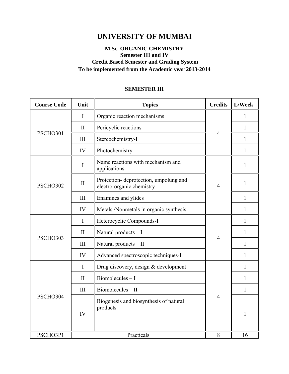# **UNIVERSITY OF MUMBAI**

# **M.Sc. ORGANIC CHEMISTRY Semester III and IV Credit Based Semester and Grading System To be implemented from the Academic year 2013-2014**

# **SEMESTER III**

| <b>Course Code</b> | Unit<br><b>Topics</b> |                                                                    | <b>Credits</b> | L/Week       |
|--------------------|-----------------------|--------------------------------------------------------------------|----------------|--------------|
|                    | I                     | Organic reaction mechanisms                                        |                | 1            |
|                    | $\mathbf{I}$          | Pericyclic reactions                                               |                | $\mathbf{1}$ |
| PSCHO301           | III                   | Stereochemistry-I                                                  | $\overline{4}$ | 1            |
|                    | IV                    | Photochemistry                                                     |                | $\mathbf{1}$ |
|                    | I                     | Name reactions with mechanism and<br>applications                  |                | 1            |
| PSCHO302           | $\mathbf{I}$          | Protection-deprotection, umpolung and<br>electro-organic chemistry | $\overline{4}$ | $\mathbf{1}$ |
|                    | III                   | Enamines and ylides                                                |                | $\mathbf{1}$ |
|                    | IV                    | Metals /Nonmetals in organic synthesis                             |                | 1            |
|                    | $\mathbf I$           | Heterocyclic Compounds-I                                           |                | 1            |
| PSCHO303           | $\mathbf{I}$          | Natural products - I                                               | $\overline{4}$ | $\mathbf{1}$ |
|                    | III                   | Natural products - II                                              |                | $\mathbf{1}$ |
|                    | IV                    | Advanced spectroscopic techniques-I                                |                | 1            |
|                    | $\mathbf I$           | Drug discovery, design & development                               |                | 1            |
| PSCHO304           | $\mathbf{I}$          | $Biomolecules-I$                                                   |                | 1            |
|                    | III                   | Biomolecules - II                                                  |                | $\mathbf{1}$ |
|                    | IV                    | Biogenesis and biosynthesis of natural<br>products                 | $\overline{4}$ | 1            |
| PSCHO3P1           |                       | Practicals                                                         | 8              | 16           |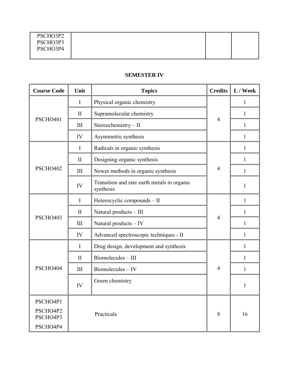| PSCHO3P2 |  |  |
|----------|--|--|
| PSCHO3P3 |  |  |
| PSCHO3P4 |  |  |
|          |  |  |

# **SEMESTER IV**

| <b>Course Code</b>                           | Unit         | <b>Credits</b><br><b>Topics</b>                          |                | L / Week     |
|----------------------------------------------|--------------|----------------------------------------------------------|----------------|--------------|
|                                              | $\mathbf{I}$ | Physical organic chemistry                               |                | 1            |
|                                              | $\mathbf{I}$ | Supramolecular chemistry                                 |                | $\mathbf{1}$ |
| PSCHO401                                     | III          | Stereochemistry - II                                     | $\overline{4}$ | $\mathbf{1}$ |
|                                              | IV           | Asymmetric synthesis                                     |                | $\mathbf{1}$ |
|                                              | $\mathbf I$  | Radicals in organic synthesis                            |                | $\mathbf{1}$ |
|                                              | $\mathbf{I}$ | Designing organic synthesis                              |                | $\mathbf{1}$ |
| PSCHO402                                     | III          | Newer methods in organic synthesis                       | $\overline{4}$ | $\mathbf{1}$ |
|                                              | IV           | Transition and rare earth metals in organic<br>synthesis |                | $\mathbf{1}$ |
|                                              | $\mathbf I$  | Heterocyclic compounds - II                              |                | $\mathbf{1}$ |
|                                              | $\mathbf{I}$ | Natural products - III                                   |                | $\mathbf{1}$ |
| PSCHO403                                     | III          | Natural products - IV                                    | $\overline{4}$ | $\mathbf{1}$ |
|                                              | IV           | Advanced spectroscopic techniques - II                   |                | $\mathbf{1}$ |
|                                              | $\mathbf I$  | Drug design, development and synthesis                   |                | $\mathbf{1}$ |
|                                              | $\mathbf{I}$ | Biomolecules - III                                       |                | $\mathbf{1}$ |
| PSCHO404                                     | III          | Biomolecules - IV                                        | $\overline{4}$ | $\mathbf{1}$ |
|                                              | IV           | Green chemistry                                          |                | 1            |
| PSCHO4P1<br>PSCHO4P2<br>PSCHO4P3<br>PSCHO4P4 |              | Practicals                                               | 8              | 16           |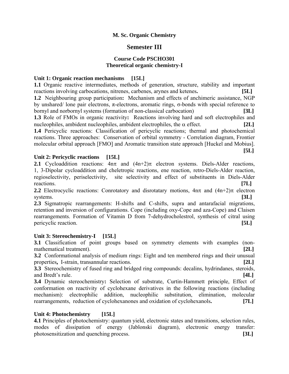#### **M. Sc. Organic Chemistry**

# **Semester III**

# **Course Code PSCHO301 Theoretical organic chemistry-I**

#### **Unit 1: Organic reaction mechanisms [15L]**

**1.1** Organic reactive intermediates, methods of generation, structure, stability and important reactions involving carbocations, nitrenes, carbenes, arynes and ketenes**. [5L] 1.2** Neighbouring group participation**:** Mechanism and effects of anchimeric assistance, NGP by unshared/ lone pair electrons, π-electrons, aromatic rings, σ-bonds with special reference to bornyl and norbornyl systems (formation of non-classical carbocation) **[3L] 1.3** Role of FMOs in organic reactivity**:** Reactions involving hard and soft electrophiles and nucleophiles, ambident nucleophiles, ambident electrophiles, the  $\alpha$  effect. **[2L] 1.4** Pericyclic reactions: Classification of pericyclic reactions; thermal and photochemical reactions. Three approaches: Conservation of orbital symmetry - Correlation diagram, Frontier molecular orbital approach [FMO] and Aromatic transition state approach [Huckel and Mobius].  **[5L]** 

#### **Unit 2: Pericyclic reactions [15L]**

**2.1** Cycloaddition reactions:  $4n\pi$  and  $(4n+2)\pi$  electron systems. Diels-Alder reactions, 1, 3-Dipolar cycloaddition and cheletropic reactions, ene reaction, retro-Diels-Alder reaction, regioselectivity, periselectivity, site selectivity and effect of substituents in Diels-Alder reactions. **[7L]**

**2.2** Electrocyclic reactions: Conrotatory and disrotatary motions,  $4n\pi$  and  $(4n+2)\pi$  electron systems. **[3L]**

**2.3** Sigmatropic rearrangements: H-shifts and C-shifts, supra and antarafacial migrations, retention and inversion of configurations. Cope (including oxy-Cope and aza-Cope) and Claisen rearrangements. Formation of Vitamin D from 7-dehydrocholestrol, synthesis of citral using pericyclic reaction. **[5L]** 

#### Unit 3: Stereochemistry-I [15L]

**3.1** Classification of point groups based on symmetry elements with examples (nonmathematical treatment). **[2L]** 

**3.2** Conformational analysis of medium rings: Eight and ten membered rings and their unusual properties**,** I-strain, transannular reactions. **[2L]**

**3.3** Stereochemistry of fused ring and bridged ring compounds: decalins, hydrindanes, steroids, and Bredt's rule. **[4L]** 

**3.4** Dynamic stereochemistry**:** Selection of substrate, Curtin-Hammett principle, Effect of conformation on reactivity of cyclohexane derivatives in the following reactions (including mechanism): electrophilic addition, nucleophilic substitution, elimination, molecular rearrangements, reduction of cyclohexanones and oxidation of cyclohexanols**. [7L]** 

#### Unit 4: Photochemistry [15L]

**4.1** Principles of photochemistry: quantum yield, electronic states and transitions, selection rules, modes of dissipation of energy (Jablonski diagram), electronic energy transfer: photosensitization and quenching process. **[3L]**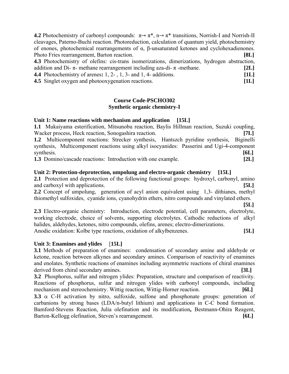**4.2** Photochemistry of carbonyl compounds:  $\pi \rightarrow \pi^*$ ,  $n \rightarrow \pi^*$  transitions, Norrish-I and Norrish-II cleavages, Paterno-Buchi reaction. Photoreduction, calculation of quantum yield, photochemistry of enones, photochemical rearrangements of α, β-unsaturated ketones and cyclohexadienones. Photo Fries rearrangement, Barton reaction. **[8L] 4.3** Photochemistry of olefins: cis-trans isomerizations, dimerizations, hydrogen abstraction, addition and Di- $\pi$ - methane rearrangement including aza-di- $\pi$ -methane. **[2L] 4.4** Photochemistry of arenes**:** 1, 2- , 1, 3- and 1, 4- additions. **[1L]**

**4.5** Singlet oxygen and photooxygenation reactions. **[1L]**

#### **Course Code-PSCHO302 Synthetic organic chemistry-I**

# **Unit 1: Name reactions with mechanism and application [15L]**

**1.1** Mukaiyama esterification, Mitsunobu reaction, Baylis Hillman reaction, Suzuki coupling, Wacker process, Heck reaction, Sonogashira reaction. **[7L] 1.2** Multicomponent reactions: Strecker synthesis, Hantszch pyridine synthesis, Biginelli synthesis, Multicomponent reactions using alkyl isocyanides: Passerini and Ugi-4-component synthesis. **[6L]** 

**1.3** Domino/cascade reactions: Introduction with one example. **[2L]** 

# **Unit 2: Protection-deprotection, umpolung and electro-organic chemistry [15L]**

**2.1** Protection and deprotection of the following functional groups: hydroxyl, carbonyl, amino and carboxyl with applications. **[5L]** 

**2.2** Concept of umpolung, generation of acyl anion equivalent using 1,3- dithianes, methyl thiomethyl sulfoxides, cyanide ions, cyanohydrin ethers, nitro compounds and vinylated ethers.

 **[5L] 2.3** Electro-organic chemistry: Introduction, electrode potential, cell parameters, electrolyte, working electrode, choice of solvents, supporting electrolytes. Cathodic reductions of alkyl halides, aldehydes, ketones, nitro compounds, olefins, arenes; electro-dimerizations. Anodic oxidation: Kolbe type reactions, oxidation of alkylbenzenes. **[5L]** 

#### **Unit 3: Enamines and ylides** [**15L]**

**3.1** Methods of preparation of enamines: condensation of secondary amine and aldehyde or ketone, reaction between alkynes and secondary amines. Comparison of reactivity of enamines and enolates. Synthetic reactions of enamines including asymmetric reactions of chiral enamines derived from chiral secondary amines. **[3L] [3L]** 

**3.2** Phosphorus, sulfur and nitrogen ylides: Preparation, structure and comparison of reactivity. Reactions of phosphorus, sulfur and nitrogen ylides with carbonyl compounds, including mechanism and stereochemistry. Wittig reaction, Wittig-Horner reaction. **[6L]** 

**3.3**  $\alpha$  C-H activation by nitro, sulfoxide, sulfone and phosphonate groups: generation of carbanions by strong bases (LDA/n-butyl lithium) and applications in C-C bond formation. Bamford-Stevens Reaction, Julia olefination and its modification**,** Bestmann-Ohira Reagent, Barton-Kellogg olefination, Steven's rearrangement. **[6L]**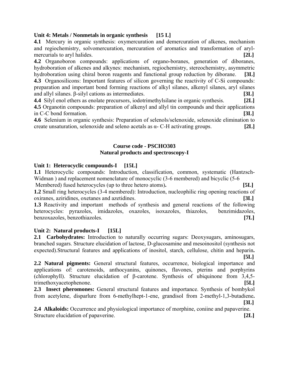#### **Unit 4: Metals / Nonmetals in organic synthesis [15 L]**

**4.1** Mercury in organic synthesis: oxymercuration and demercuration of alkenes, mechanism and regiochemistry, solvomercuration, mercuration of aromatics and transformation of arylmercurials to aryl halides. **[2L]** 

**4.2** Organoboron compounds: applications of organo-boranes, generation of diboranes, hydroboration of alkenes and alkynes: mechanism, regiochemistry, stereochemistry, asymmetric hydroboration using chiral boron reagents and functional group reduction by diborane. **[3L]** 

**4.3** Organosilicons: Important features of silicon governing the reactivity of C-Si compounds: preparation and important bond forming reactions of alkyl silanes, alkenyl silanes, aryl silanes and allyl silanes. β-silyl cations as intermediates. **[3L]**

**4.4** Silyl enol ethers as enolate precursors, iodotrimethylsilane in organic synthesis. **[2L] 4.5** Organotin compounds: preparation of alkenyl and allyl tin compounds and their applications in C-C bond formation. **[3L]** 

**4.6** Selenium in organic synthesis: Preparation of selenols/selenoxide, selenoxide elimination to create unsaturation, selenoxide and seleno acetals as α- C-H activating groups. **[2L]**

#### **Course code - PSCHO303 Natural products and spectroscopy-I**

#### **Unit 1: Heterocyclic compounds-I [15L]**

**1.1** Heterocyclic compounds: Introduction, classification, common, systematic (Hantzsch-Widman ) and replacement nomenclature of monocyclic (3-6 membered) and bicyclic (5-6

 Membered) fused heterocycles (up to three hetero atoms)**. [5L] 1.2** Small ring heterocycles (3-4 membered): Introduction, nucleophilic ring opening reactions of oxiranes, aziridines, oxetanes and azetidines. **[3L]**

**1.3** Reactivity and important methods of synthesis and general reactions of the following heterocycles: pyrazoles, imidazoles, oxazoles, isoxazoles, thiazoles, benzimidazoles, benzoxazoles, benzothiazoles. **[7L]**

#### Unit 2: Natural products-I [15L]

**2.1 Carbohydrates:** Introduction to naturally occurring sugars: Deoxysugars, aminosugars, branched sugars. Structure elucidation of lactose, D-glucosamine and mesoinositol (synthesis not expected).Structural features and applications of inositol, starch, cellulose, chitin and heparin**. [5L]**

**2.2 Natural pigments:** General structural features, occurrence, biological importance and applications of: carotenoids, anthocyanins, quinones, flavones, pterins and porphyrins (chlorophyll). Structure elucidation of β-carotene. Synthesis of ubiquinone from 3,4,5 trimethoxyacetophenone. **[5L]**

**2.3 Insect pheromones:** General structural features and importance. Synthesis of bombykol from acetylene, disparlure from 6-methylhept-1-ene, grandisol from 2-methyl-1,3-butadiene**. [3L]** 

**2.4 Alkaloids:** Occurrence and physiological importance of morphine, coniine and papaverine. Structure elucidation of papaverine. **[2L]**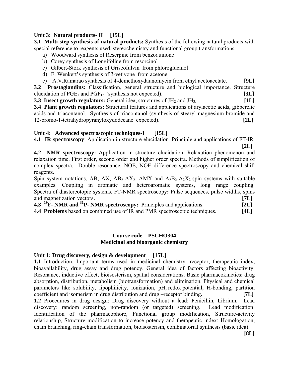#### Unit 3: Natural products- II [15L]

**3.1 Multi-step synthesis of natural products:** Synthesis of the following natural products with special reference to reagents used, stereochemistry and functional group transformations:

- a) Woodward synthesis of Reserpine from benzoquinone
- b) Corey synthesis of Longifoline from resorcinol
- c) Gilbert-Stork synthesis of Griseofulvin from phloroglucinol
- d) E. Wenkert's synthesis of β-vetivone from acetone
- e) A.V.Ramarao synthesis of 4-demethoxydaunomycin from ethyl acetoacetate. **[9L]**

**3.2 Prostaglandins:** Classification, general structure and biological importance. Structure elucidation of  $PGE_1$  and  $PGF_{1\alpha}$  (synthesis not expected). **[3L]** 

**3.3 Insect growth regulators:** General idea, structures of JH<sub>2</sub> and JH<sub>3</sub> [1L]

**3.4 Plant growth regulators:** Structural features and applications of arylacetic acids, gibberelic acids and triacontanol. Synthesis of triacontanol (synthesis of stearyl magnesium bromide and 12-bromo-1-tetrahydropyranyloxydodecane expected). **[2L]** 

# Unit 4: Advanced spectroscopic techniques-I [15L]

**4.1 IR spectroscopy**: Application in structure elucidation. Principle and applications of FT**-**IR.  **[2L]** 

**4.2 NMR spectroscopy:** Application in structure elucidation. Relaxation phenomenon and relaxation time. First order, second order and higher order spectra. Methods of simplification of complex spectra. Double resonance, NOE, NOE difference spectroscopy and chemical shift reagents.

Spin system notations, AB, AX,  $AB_2$ -AX<sub>2</sub>, AMX and  $A_2B_2$ -A<sub>2</sub>X<sub>2</sub> spin systems with suitable examples. Coupling in aromatic and heteroaromatic systems, long range coupling. Spectra of diastereotopic systems. FT-NMR spectroscopy**:** Pulse sequences, pulse widths, spins and magnetization vectors**. [7L]** 

|  | 4.3 <sup>19</sup> F- NMR and <sup>31</sup> P- NMR spectroscopy: Principles and applications. | [2L]         |
|--|----------------------------------------------------------------------------------------------|--------------|
|  | 4.4 Druhlams has al an eamhined use of ID and DMD spectrosecule techniques                   | <b>FAT 1</b> |

**4.4 Problems** based on combined use of IR and PMR spectroscopic techniques. **[4L]**

#### **Course code – PSCHO304 Medicinal and bioorganic chemistry**

#### Unit 1: Drug discovery, design & development [15L]

**1.1** Introduction, Important terms used in medicinal chemistry: receptor, therapeutic index, bioavailability, drug assay and drug potency. General idea of factors affecting bioactivity: Resonance, inductive effect, bioisosterism, spatial considerations. Basic pharmacokinetics: drug absorption, distribution, metabolism (biotransformation) and elimination. Physical and chemical parameters like solubility, lipophilicity, ionization, pH, redox potential, H-bonding, partition coefficient and isomerism in drug distribution and drug –receptor binding**. [7L] 1.2** Procedures in drug design: Drug discovery without a lead: Penicillin, Librium. Lead discovery: random screening, non-random (or targeted) screening. Lead modification: Identification of the pharmacophore, Functional group modification, Structure-activity relationship, Structure modification to increase potency and therapeutic index: Homologation, chain branching, ring-chain transformation, bioisosterism, combinatorial synthesis (basic idea).

**[8L]**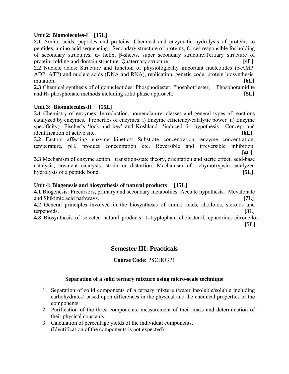#### **Unit 2: Biomolecules-I [15L]**

**2.1** Amino acids, peptides and proteins: Chemical and enzymatic hydrolysis of proteins to peptides, amino acid sequencing. Secondary structure of proteins, forces responsible for holding of secondary structures, α- helix, β-sheets, super secondary structure.Tertiary structure of protein: folding and domain structure. Quaternary structure. **[4L]**

**2.2** Nucleic acids: Structure and function of physiologically important nucleotides (c-AMP, ADP, ATP) and nucleic acids (DNA and RNA), replication, genetic code, protein biosynthesis, mutation. **[6L]**

2.3 Chemical synthesis of oligonucleotides: Phosphodiester, Phosphotriester, Phosphoramidite and H- phosphonate methods including solid phase approach. **[5L]** 

#### Unit 3: Biomolecules-II [15L]

**3.1** Chemistry of enzymes: Introduction, nomenclature, classes and general types of reactions catalyzed by enzymes. Properties of enzymes: i) Enzyme efficiency/catalytic power ii) Enzyme specificity; Fischer's 'lock and key' and Koshland 'induced fit' hypothesis. Concept and identification of active site. **[6L]**

**3.2** Factors affecting enzyme kinetics: Substrate concentration, enzyme concentration, temperature, pH, product concentration etc. Reversible and irreversible inhibition. **[4L]**

**3.3** Mechanism of enzyme action: transition-state theory, orientation and steric effect, acid-base catalysis, covalent catalysis, strain or distortion. Mechanism of chymotrypsin catalyzed hydrolysis of a peptide bond. **[5L]** 

#### **Unit 4: Biogenesis and biosynthesis of natural products [15L]**

**4.1** Biogenesis: Precursors, primary and secondary metabolites. Acetate hypothesis. Mevalonate and Shikimic acid pathways. **[7L]** 

**4.2** General principles involved in the biosynthesis of amino acids, alkaloids, steroids and terpenoids. **[3L]** 

**4.3** Biosynthesis of selected natural products: L-tryptophan, cholesterol, ephedrine, citronellol. **[5L]** 

# **Semester III: Practicals**

**Course Code:** PSCHO3P1

#### **Separation of a solid ternary mixture using micro-scale technique**

- 1. Separation of solid components of a ternary mixture (water insoluble/soluble including carbohydrates) based upon differences in the physical and the chemical properties of the components.
- 2. Purification of the three components, measurement of their mass and determination of their physical constants.
- 3. Calculation of percentage yields of the individual components. (Identification of the components is not expected).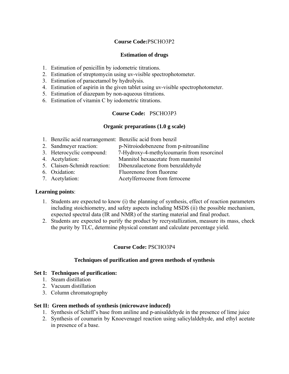#### **Course Code:**PSCHO3P2

#### **Estimation of drugs**

- 1. Estimation of penicillin by iodometric titrations.
- 2. Estimation of streptomycin using uv-visible spectrophotometer.
- 3. Estimation of paracetamol by hydrolysis.
- 4. Estimation of aspirin in the given tablet using uv-visible spectrophotometer.
- 5. Estimation of diazepam by non-aqueous titrations.
- 6. Estimation of vitamin C by iodometric titrations.

#### **Course Code:** PSCHO3P3

#### **Organic preparations (1.0 g scale)**

- 1. Benzilic acid rearrangement: Benzilic acid from benzil
- 2. Sandmeyer reaction: p-Nitroiodobenzene from p-nitroaniline
- 3. Heterocyclic compound: 7-Hydroxy-4-methylcoumarin from resorcinol
- 4. Acetylation: Mannitol hexaacetate from mannitol
- 5. Claisen-Schmidt reaction: Dibenzalacetone from benzaldehyde
- 6. Oxidation: Fluorenone from fluorene
- 7. Acetylation: Acetylferrocene from ferrocene

#### **Learning points**:

- 1. Students are expected to know (i) the planning of synthesis, effect of reaction parameters including stoichiometry, and safety aspects including MSDS (ii) the possible mechanism, expected spectral data (IR and NMR) of the starting material and final product.
- 2. Students are expected to purify the product by recrystallization, measure its mass, check the purity by TLC, determine physical constant and calculate percentage yield.

#### **Course Code:** PSCHO3P4

#### **Techniques of purification and green methods of synthesis**

#### **Set I: Techniques of purification:**

- 1. Steam distillation
- 2. Vacuum distillation
- 3. Column chromatography

#### **Set II: Green methods of synthesis (microwave induced)**

- 1. Synthesis of Schiff's base from aniline and p-anisaldehyde in the presence of lime juice
- 2. Synthesis of coumarin by Knoevenagel reaction using salicylaldehyde, and ethyl acetate in presence of a base.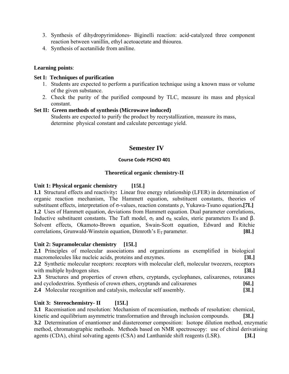- 3. Synthesis of dihydropyrimidones- Biginelli reaction: acid-catalyzed three component reaction between vanillin, ethyl acetoacetate and thiourea.
- 4. Synthesis of acetanilide from aniline.

#### **Learning points**:

#### **Set I: Techniques of purification**

- 1. Students are expected to perform a purification technique using a known mass or volume of the given substance.
- 2. Check the purity of the purified compound by TLC, measure its mass and physical constant.

#### **Set II: Green methods of synthesis (Microwave induced)**

 Students are expected to purify the product by recrystallization, measure its mass, determine physical constant and calculate percentage yield.

# **Semester IV**

#### **Course Code PSCHO 401**

#### **Theoretical organic chemistry-II**

#### **Unit 1: Physical organic chemistry [15L]**

**1.1** Structural effects and reactivity**:** Linear free energy relationship (LFER) in determination of organic reaction mechanism, The Hammett equation, substituent constants, theories of substituent effects, interpretation of σ-values, reaction constants ρ, Yukawa-Tsuno equation**.[7L] 1.2** Uses of Hammett equation, deviations from Hammett equation. Dual parameter correlations, Inductive substituent constants. The Taft model,  $\sigma_I$  and  $\sigma_R$  scales, steric parameters Es and β. Solvent effects, Okamoto-Brown equation, Swain-Scott equation, Edward and Ritchie  $\text{correlations}, \text{Grunwald-Winstein equation}, \text{Dimroth's } E_{\text{T}} \text{ parameter.}$  [8L]

#### **Unit 2: Supramolecular chemistry [15L]**

**2.1** Principles of molecular associations and organizations as exemplified in biological macromolecules like nucleic acids, proteins and enzymes. **[3L] 2.2** Synthetic molecular receptors: receptors with molecular cleft, molecular tweezers, receptors with multiple hydrogen sites. **[3L] 2.3** Structures and properties of crown ethers, cryptands, cyclophanes, calixarenes, rotaxanes and cyclodextrins. Synthesis of crown ethers, cryptands and calixarenes **[6L] 2.4** Molecular recognition and catalysis, molecular self assembly. **[3L]** 

#### Unit 3: Stereochemistry- II [15L]

**3.1** Racemisation and resolution: Mechanism of racemisation, methods of resolution: chemical, kinetic and equilibrium asymmetric transformation and through inclusion compounds. **[3L] 3.2** Determination of enantiomer and diastereomer composition: Isotope dilution method, enzymatic

method, chromatographic methods. Methods based on NMR spectroscopy: use of chiral derivatising agents (CDA), chiral solvating agents (CSA) and Lanthanide shift reagents (LSR). **[3L]**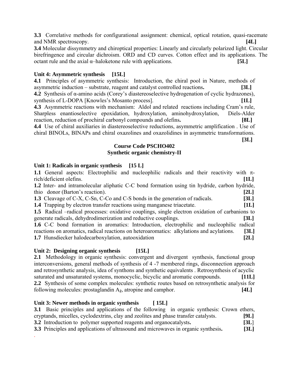**3.3** Correlative methods for configurational assignment: chemical, optical rotation, quasi-racemate and NMR spectroscopy. **[4L]**

**3.4** Molecular dissymmetry and chiroptical properties: Linearly and circularly polarized light. Circular birefringence and circular dichroism. ORD and CD curves. Cotton effect and its applications. The octant rule and the axial  $\alpha$ -haloketone rule with applications. **[5L]** 

#### **Unit 4: Asymmetric synthesis [15L]**

**4.1** Principles of asymmetric synthesis: Introduction, the chiral pool in Nature, methods of asymmetric induction – substrate, reagent and catalyst controlled reactions**. [3L] 4.2** Synthesis of α-amino acids (Corey's diastereoselective hydrogenation of cyclic hydrazones),

synthesis of L-DOPA [Knowles's Mosanto process]. **[1L]** 

**4.3** Asymmetric reactions with mechanism: Aldol and related reactions including Cram's rule, Sharpless enantioselective epoxidation, hydroxylation, aminohydroxylation, Diels-Alder reaction, reduction of prochiral carbonyl compounds and olefins**. [8L]** 

**4.4** Use of chiral auxiliaries in diastereoselective reductions, asymmetric amplification . Use of chiral BINOLs, BINAPs and chiral oxazolines and oxazolidines in asymmetric transformations. **[3L]** 

#### **Course Code PSCHO402 Synthetic organic chemistry-II**

# **Unit 1: Radicals in organic synthesis [15 L]**

| 1.1 General aspects: Electrophilic and nucleophilic radicals and their reactivity with $\pi$ -  |      |
|-------------------------------------------------------------------------------------------------|------|
| rich/deficient olefins.                                                                         | [1L] |
| 1.2 Inter- and intramolecular aliphatic C-C bond formation using tin hydride, carbon hydride,   |      |
| thio donor (Barton's reaction).                                                                 | [2L] |
| <b>1.3</b> Cleavage of C-X, C-Sn, C-Co and C-S bonds in the generation of radicals.             | [3L] |
| 1.4 Trapping by electron transfer reactions using manganese triacetate.                         | [1L] |
| 1.5 Radical –radical processes: oxidative couplings, single electron oxidation of carbanions to |      |
| generate radicals, dehydrodimerization and reductive couplings.                                 | [3L] |
| 1.6 C-C bond formation in aromatics: Introduction, electrophilic and nucleophilic radical       |      |
| reactions on aromatics, radical reactions on heteroaromatics: alkylations and acylations.       | [3L] |
| <b>1.7</b> Hunsdiecker halodecarboxylation, autooxidation                                       | [2L] |
|                                                                                                 |      |

#### Unit 2: Designing organic synthesis [15L]

2.1 Methodology in organic synthesis: convergent and divergent synthesis, functional group interconversions, general methods of synthesis of 4 -7 membered rings, disconnection approach and retrosynthetic analysis, idea of synthons and synthetic equivalents . Retrosynthesis of acyclic saturated and unsaturated systems, monocyclic, bicyclic and aromatic compounds. **[11L] 2.2** Synthesis of some complex molecules: synthetic routes based on retrosynthetic analysis for following molecules: prostaglandin A**2**, atropine and camphor. **[4L]** 

#### Unit 3: Newer methods in organic synthesis [15L]

| 3.1 Basic principles and applications of the following in organic synthesis: Crown ethers, |      |
|--------------------------------------------------------------------------------------------|------|
| cryptands, micelles, cyclodextrins, clay and zeolites and phase transfer catalysts.        | [9L] |
| 3.2 Introduction to polymer supported reagents and organocatalysts.                        | 3L   |
| 3.3 Principles and applications of ultrasound and microwaves in organic synthesis.         | [3L] |
|                                                                                            |      |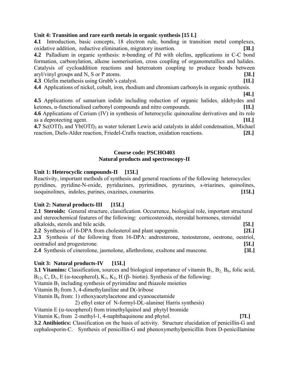#### **Unit 4: Transition and rare earth metals in organic synthesis [15 L]**

**4.1** Introduction, basic concepts, 18 electron rule, bonding in transition metal complexes, oxidative addition, reductive elimination, migratory insertion. **[3L] 4.2** Palladium in organic synthesis:  $π$ -bonding of Pd with olefins, applications in C-C bond formation, carbonylation, alkene isomerisation, cross coupling of organometallics and halides. Catalysis of cycloaddition reactions and heteroatom coupling to produce bonds between aryl/vinyl groups and N, S or P atoms. **[3L] 4.3** Olefin metathesis using Grubb's catalyst. **[1L]**

**4.4** Applications of nickel, cobalt, iron, rhodium and chromium carbonyls in organic synthesis.

 **[4L] 4.5** Applications of samarium iodide including reduction of organic halides, aldehydes and ketones, α-functionalised carbonyl compounds and nitro compounds. **[1L] 4.6** Applications of Cerium (IV) in synthesis of heterocyclic quinoxaline derivatives and its role as a deprotecting agent. **[1L]** 

**4.7** Sc(OTf)<sub>3</sub> and Yb(OTf)<sub>3</sub> as water tolerant Lewis acid catalysts in aldol condensation, Michael reaction, Diels-Alder reaction, Friedel-Crafts reaction, oxidation reactions. **[2L]**

#### **Course code: PSCHO403 Natural products and spectroscopy-II**

# Unit 1: Heterocyclic compounds-II [15L]

Reactivity, important methods of synthesis and general reactions of the following heterocycles: pyridines, pyridine-N-oxide, pyridazines, pyrimidines, pyrazines, s-triazines, quinolines, isoquinolines, indoles, purines, oxazines, coumarins. **[15L]** 

# Unit 2: Natural products-III [15L]

**2.1 Steroids:** General structure, classification. Occurrence, biological role, important structural and stereochemical features of the following: corticosteroids, steroidal hormones, steroidal alkaloids, sterols and bile acids. **[5L]** 

| 2.2 Synthesis of 16-DPA from cholesterol and plant sapogenin.                                     | 2L   |
|---------------------------------------------------------------------------------------------------|------|
| <b>2.3</b> Synthesis of the following from 16-DPA: androsterone, testosterone, oestrone, oestrol, |      |
| oestradiol and progesterone.                                                                      | [5L] |
| <b>2.4</b> Synthesis of cinerolone, jasmolone, allethrolone, exaltone and muscone.                | 3L   |

# Unit 3: Natural products-IV [15L]

**3.1 Vitamins:** Classification, sources and biological importance of vitamin  $B_1$ ,  $B_2$ ,  $B_6$ , folic acid, B<sub>12</sub>, C, D<sub>1</sub>, E (α-tocopherol), K<sub>1</sub>, K<sub>2</sub>, H (β- biotin). Synthesis of the following:

Vitamin  $B_1$  including synthesis of pyrimidine and thiazole moieties

Vitamin  $B_2$  from 3, 4-dimethylaniline and  $D(-)$ ribose

Vitamin  $B_6$  from: 1) ethoxyacetylacetone and cyanoacetamide

2) ethyl ester of N-formyl-DL-alanine( Harris synthesis)

Vitamin E ( $\alpha$ -tocopherol) from trimethylquinol and phytyl bromide

Vitamin K<sub>1</sub> from 2-methyl-1, 4-naphthaquinone and phytol. **[7L]** 

**3.2 Antibiotics:** Classification on the basis of activity. Structure elucidation of penicillin-G and cephalosporin-C. Synthesis of penicillin-G and phenoxymethylpenicillin from D-penicillamine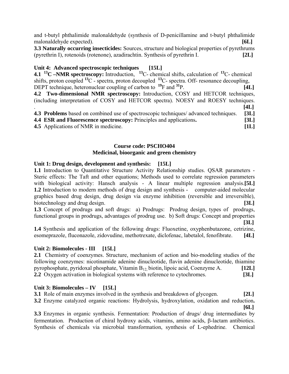and t-butyl phthalimide malonaldehyde (synthesis of D-penicillamine and t-butyl phthalimide malonaldehyde expected). **[6L]** 

**3.3 Naturally occurring insecticides:** Sources, structure and biological properties of pyrethrums (pyrethrin I), rotenoids (rotenone), azadirachtin. Synthesis of pyrethrin I. **[2L]** 

# **Unit 4: Advanced spectroscopic techniques [15L]**

**4.1 13C –NMR spectroscopy:** Introduction, **<sup>13</sup>**C- chemical shifts, calculation of **<sup>13</sup>**C- chemical shifts, proton coupled <sup>13</sup>C - spectra, proton decoupled <sup>13</sup>C- spectra. Off- resonance decoupling, DEPT technique, heteronuclear coupling of carbon to **<sup>19</sup>**F and **<sup>31</sup>**P. **[4L] 4.2 Two-dimensional NMR spectroscopy:** Introduction, COSY and HETCOR techniques, (including interpretation of COSY and HETCOR spectra). NOESY and ROESY techniques. . **[4L] 4.3 Problems** based on combined use of spectroscopic techniques/ advanced techniques. **[3L] 4.4 ESR and Fluorescence spectroscopy:** Principles and applications**. [3L]**

**4.5** Applications of NMR in medicine. **[1L]** 

#### **Course code: PSCHO404 Medicinal, bioorganic and green chemistry**

#### **Unit 1: Drug design, development and synthesis: [15L]**

**1.1** Introduction to Quantitative Structure Activity Relationship studies. QSAR parameters - Steric effects: The Taft and other equations; Methods used to correlate regression parameters with biological activity: Hansch analysis - A linear multiple regression analysis.<sup>[51]</sup> **1.2** Introduction to modern methods of drug design and synthesis - computer-aided molecular graphics based drug design, drug design via enzyme inhibition (reversible and irreversible), biotechnology and drug design. **[3L]** 

**1.3** Concept of prodrugs and soft drugs: a) Prodrugs: Prodrug design, types of prodrugs, functional groups in prodrugs, advantages of prodrug use. b) Soft drugs: Concept and properties

 **[3L]**

**1.4** Synthesis and application of the following drugs: Fluoxetine, oxyphenbutazone, cetrizine, esomeprazole, fluconazole, zidovudine, methotrexate, diclofenac, labetalol, fenofibrate. **[4L]** 

#### Unit 2: Biomolecules - III [15L]

**2.1** Chemistry of coenzymes. Structure, mechanism of action and bio-modeling studies of the following coenzymes: nicotinamide adenine dinucleotide, flavin adenine dinucleotide, thiamine pyrophosphate, pyridoxal phosphate, Vitamin B12, biotin, lipoic acid, Coenzyme A. **[12L] 2.2** Oxygen activation in biological systems with reference to cytochromes. **[3L]**

#### Unit 3: Biomolecules – IV [15L]

**3.1** Role of main enzymes involved in the synthesis and breakdown of glycogen. **[2L] 3.2** Enzyme catalyzed organic reactions: Hydrolysis, hydroxylation, oxidation and reduction**. [6L]** 

**3.3** Enzymes in organic synthesis. Fermentation: Production of drugs/ drug intermediates by fermentation. Production of chiral hydroxy acids, vitamins, amino acids, β-lactam antibiotics. Synthesis of chemicals via microbial transformation, synthesis of L-ephedrine. Chemical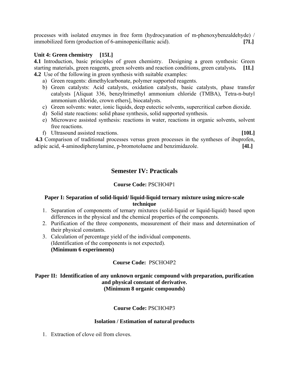processes with isolated enzymes in free form (hydrocyanation of m-phenoxybenzaldehyde) / immobilized form (production of 6-aminopenicillanic acid). **[7L]** 

#### **Unit 4: Green chemistry [15L]**

**4.1** Introduction, basic principles of green chemistry. Designing a green synthesis: Green starting materials, green reagents, green solvents and reaction conditions, green catalysts**. [1L] 4.2** Use of the following in green synthesis with suitable examples:

- a) Green reagents: dimethylcarbonate, polymer supported reagents.
- b) Green catalysts: Acid catalysts, oxidation catalysts, basic catalysts, phase transfer catalysts [Aliquat 336, benzyltrimethyl ammonium chloride (TMBA), Tetra-n-butyl ammonium chloride, crown ethers], biocatalysts.
- c) Green solvents: water, ionic liquids, deep eutectic solvents, supercritical carbon dioxide.
- d) Solid state reactions: solid phase synthesis, solid supported synthesis.
- e) Microwave assisted synthesis: reactions in water, reactions in organic solvents, solvent free reactions.
- f) Ultrasound assisted reactions. **[10L]**

 **4.3** Comparison of traditional processes versus green processes in the syntheses of ibuprofen, adipic acid, 4-aminodiphenylamine, p-bromotoluene and benzimidazole. **[4L]** 

# **Semester IV: Practicals**

#### **Course Code:** PSCHO4P1

#### **Paper I: Separation of solid-liquid/ liquid-liquid ternary mixture using micro-scale technique**

- 1. Separation of components of ternary mixtures (solid-liquid or liquid-liquid) based upon differences in the physical and the chemical properties of the components.
- 2. Purification of the three components, measurement of their mass and determination of their physical constants.
- 3. Calculation of percentage yield of the individual components. (Identification of the components is not expected). **(Minimum 6 experiments)**

#### **Course Code:** PSCHO4P2

#### **Paper II: Identification of any unknown organic compound with preparation, purification and physical constant of derivative. (Minimum 8 organic compounds)**

#### **Course Code:** PSCHO4P3

#### **Isolation / Estimation of natural products**

1. Extraction of clove oil from cloves.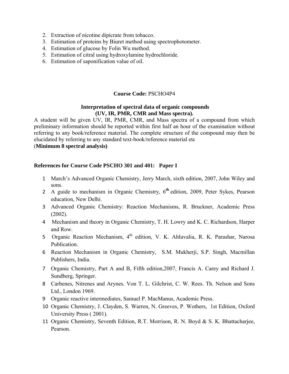- 2. Extraction of nicotine dipicrate from tobacco.
- 3. Estimation of proteins by Biuret method using spectrophotometer.
- 4. Estimation of glucose by Folin Wu method.
- 5. Estimation of citral using hydroxylamine hydrochloride.
- 6. Estimation of saponification value of oil.

#### **Course Code:** PSCHO4P4

#### **Interpretation of spectral data of organic compounds (UV, IR, PMR, CMR and Mass spectra).**

A student will be given UV, IR, PMR, CMR, and Mass spectra of a compound from which preliminary information should be reported within first half an hour of the examination without referring to any book/reference material. The complete structure of the compound may then be elucidated by referring to any standard text-book/reference material etc (**Minimum 8 spectral analysis)** 

#### **References for Course Code PSCHO 301 and 401: Paper I**

- 1 March's Advanced Organic Chemistry, Jerry March, sixth edition, 2007, John Wiley and sons.
- 2 A guide to mechanism in Organic Chemistry, 6**th** edition, 2009, Peter Sykes, Pearson education, New Delhi.
- 3 Advanced Organic Chemistry: Reaction Mechanisms, R. Bruckner, Academic Press (2002).
- 4 Mechanism and theory in Organic Chemistry, T. H. Lowry and K. C. Richardson, Harper and Row.
- 5 Organic Reaction Mechanism, 4<sup>th</sup> edition, V. K. Ahluvalia, R. K. Parashar, Narosa Publication.
- 6 Reaction Mechanism in Organic Chemistry, S.M. Mukherji, S.P. Singh, Macmillan Publishers, India.
- 7 Organic Chemistry, Part A and B, Fifth edition,2007, Francis A. Carey and Richard J. Sundberg, Springer.
- 8 Carbenes, Nitrenes and Arynes. Von T. L. Gilchrist, C. W. Rees. Th. Nelson and Sons Ltd., London 1969.
- 9 Organic reactive intermediates, Samuel P. MacManus, Academic Press.
- 10 Organic Chemistry, J. Clayden, S. Warren, N. Greeves, P. Wothers, 1st Edition, Oxford University Press ( 2001).
- 11 Organic Chemistry, Seventh Edition, R.T. Morrison, R. N. Boyd & S. K. Bhattacharjee, Pearson.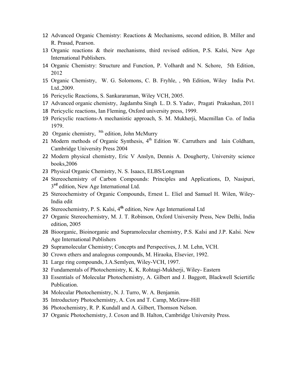- Advanced Organic Chemistry: Reactions & Mechanisms, second edition, B. Miller and R. Prasad, Pearson.
- Organic reactions & their mechanisms, third revised edition, P.S. Kalsi, New Age International Publishers.
- Organic Chemistry: Structure and Function, P. Volhardt and N. Schore, 5th Edition,
- Organic Chemistry, W. G. Solomons, C. B. Fryhle, , 9th Edition, Wiley India Pvt. Ltd.,2009.
- Pericyclic Reactions, S. Sankararaman, Wiley VCH, 2005.
- Advanced organic chemistry, Jagdamba Singh L. D. S. Yadav, Pragati Prakashan, 2011
- Pericyclic reactions, Ian Fleming, Oxford university press, 1999.
- Pericyclic reactions-A mechanistic approach, S. M. Mukherji, Macmillan Co. of India 1979.
- 20 Organic chemistry, <sup>8th</sup> edition, John McMurry
- 21 Modern methods of Organic Synthesis,  $4<sup>th</sup>$  Edition W. Carruthers and Iain Coldham, Cambridge University Press 2004
- Modern physical chemistry, Eric V Anslyn, Dennis A. Dougherty, University science books,2006
- Physical Organic Chemistry, N. S. Isaacs, ELBS/Longman
- Stereochemistry of Carbon Compounds: Principles and Applications, D, Nasipuri, **rd** edition, New Age International Ltd.
- Stereochemistry of Organic Compounds, Ernest L. Eliel and Samuel H. Wilen, Wiley-India edit
- Stereochemistry, P. S. Kalsi, 4**th** edition, New Age International Ltd
- Organic Stereochemistry, M. J. T. Robinson, Oxford University Press, New Delhi, India edition, 2005
- Bioorganic, Bioinorganic and Supramolecular chemistry, P.S. Kalsi and J.P. Kalsi. New Age International Publishers
- Supramolecular Chemistry; Concepts and Perspectives, J. M. Lehn, VCH.
- Crown ethers and analogous compounds, M. Hiraoka, Elsevier, 1992.
- Large ring compounds, J.A.Semlyen, Wiley-VCH, 1997.
- Fundamentals of Photochemistry, K. K. Rohtagi-Mukherji, Wiley- Eastern
- Essentials of Molecular Photochemistry, A. Gilbert and J. Baggott, Blackwell Sciertific Publication.
- Molecular Photochemistry, N. J. Turro, W. A. Benjamin.
- Introductory Photochemistry, A. Cox and T. Camp, McGraw-Hill
- Photochemistry, R. P. Kundall and A. Gilbert, Thomson Nelson.
- Organic Photochemistry, J. Coxon and B. Halton, Cambridge University Press.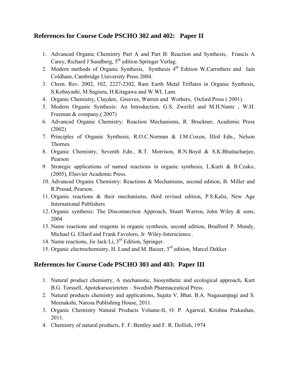# **References for Course Code PSCHO 302 and 402: Paper II**

- 1. Advanced Organic Chemistry Part A and Part B: Reaction and Synthesis, Francis A Carey, Richard J Sundberg,  $5<sup>th</sup>$  edition Springer Verlag.
- 2. Modern methods of Organic Synthesis, Synthesis 4<sup>th</sup> Edition W.Carruthers and Iain Coldham, Cambridge University Press 2004.
- 3. Chem. Rev. 2002, 102, 2227-2302, Rare Earth Metal Triflates in Organic Synthesis, S.Kobayashi, M Sugiura, H.Kitagawa and W.WL Lam.
- 4. Organic Chemistry, Clayden, Greeves, Warren and Wothers, Oxford Press ( 2001).
- 5. Modern Organic Synthesis: An Introduction, G.S. Zweifel and M.H.Nantz , W.H. Freeman & company,( 2007)
- 6. Advanced Organic Chemistry: Reaction Mechanisms, R. Bruckner, Academic Press (2002)
- 7. Principles of Organic Synthesis, R.O.C.Norman & J.M.Coxon, IIIrd Edn., Nelson Thornes
- 8. Organic Chemistry, Seventh Edn., R.T. Morrison, R.N.Boyd & S.K.Bhattacharjee, Pearson
- 9. Strategic applications of named reactions in organic synthesis, L.Kurti & B.Czako, (2005), Elsevier Academic Press.
- 10. Advanced Organic Chemistry: Reactions & Mechanisms, second edition, B. Miller and R.Prasad, Pearson.
- 11. Organic reactions & their mechanisms, third revised edition, P.S.Kalsi, New Age International Publishers
- 12. Organic synthesis: The Disconnection Approach, Stuart Warren, John Wiley & sons, 2004
- 13. Name reactions and reagents in organic synthesis, second edition, Bradford P. Mundy, Michael G. Ellard and Frank Favoloro, Jr. Wiley-Interscience .
- 14. Name reactions, Jie Jack Li, 3rd Edition, Springer.
- 15. Organic electrochemistry, H. Lund and M. Baizer, 3rd edition, Marcel Dekker.

# **References for Course Code PSCHO 303 and 403: Paper III**

- 1. Natural product chemistry, A mechanistic, biosynthetic and ecological approach, Kurt B.G. Torssell, Apotekarsocieteten – Swedish Pharmaceutical Press.
- 2. Natural products chemistry and applications, Sujata V. Bhat, B.A. Nagasampagi and S. Meenakshi, Narosa Publishing House, 2011.
- 3. Organic Chemistry Natural Products Volume-II, O. P. Agarwal, Krishna Prakashan, 2011.
- 4. Chemistry of natural products, F. F. Bentley and F. R. Dollish, 1974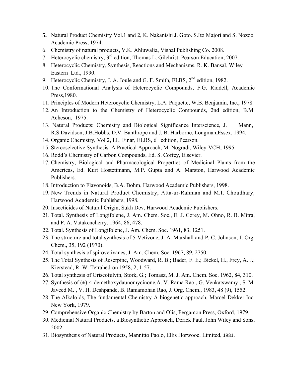- **5.** Natural Product Chemistry Vol.1 and 2, K. Nakanishi J. Goto. S.Ito Majori and S. Nozoo, Academic Press, 1974.
- 6. Chemistry of natural products, V.K. Ahluwalia, Vishal Publishing Co. 2008.
- 7. Heterocyclic chemistry, 3rd edition, Thomas L. Gilchrist, Pearson Education, 2007.
- 8. Heterocyclic Chemistry, Synthesis, Reactions and Mechanisms, R. K. Bansal, Wiley Eastern Ltd., 1990.
- 9. Heterocyclic Chemistry, J. A. Joule and G. F. Smith, ELBS, 2<sup>nd</sup> edition, 1982.
- 10. The Conformational Analysis of Heterocyclic Compounds, F.G. Riddell, Academic Press,1980.
- 11. Principles of Modern Heterocyclic Chemistry, L.A. Paquette, W.B. Benjamin, Inc., 1978.
- 12. An Introduction to the Chemistry of Heterocyclic Compounds, 2nd edition, B.M. Acheson, 1975.
- 13. Natural Products: Chemistry and Biological Significance Interscience, J. Mann, R.S.Davidson, J.B.Hobbs, D.V. Banthrope and J. B. Harborne, Longman,Essex, 1994.
- 14. Organic Chemistry, Vol 2, I.L. Finar, ELBS, 6<sup>th</sup> edition, Pearson.
- 15. Stereoselective Synthesis: A Practical Approach, M. Nogradi, Wiley-VCH, 1995.
- 16. Rodd's Chemistry of Carbon Compounds, Ed. S. Coffey, Elsevier.
- 17. Chemistry, Biological and Pharmacological Properties of Medicinal Plants from the Americas, Ed. Kurt Hostettmann, M.P. Gupta and A. Marston, Harwood Academic Publishers.
- 18. Introduction to Flavonoids, B.A. Bohm, Harwood Academic Publishers, 1998.
- 19. New Trends in Natural Product Chemistry, Atta-ur-Rahman and M.I. Choudhary, Harwood Academic Publishers, 1998.
- 20. Insecticides of Natural Origin, Sukh Dev, Harwood Academic Publishers.
- 21. Total. Synthesis of Longifolene, J. Am. Chem. Soc., E. J. Corey, M. Ohno, R. B. Mitra, and P. A. Vatakencherry. 1964, 86, 478.
- 22. Total. Synthesis of Longifolene, J. Am. Chem. Soc. 1961, 83, 1251.
- 23. The structure and total synthesis of 5-Vetivone, J. A. Marshall and P. C. Johnson, J. Org. Chem., 35, 192 (1970).
- 24. Total synthesis of spirovetivanes, J. Am. Chem. Soc. 1967, 89, 2750.
- 25. The Total Synthesis of Reserpine, Woodward, R. B.; Bader, F. E.; Bickel, H., Frey, A. J.; Kierstead, R. W. Tetrahedron 1958, 2, 1-57.
- 26. Total synthesis of Griseofulvin, Stork, G.; Tomasz, M. J. Am. Chem. Soc. 1962, 84, 310.
- 27. Synthesis of (±)-4-demethoxydaunomycinone,A. V. Rama Rao , G. Venkatswamy , S. M. Javeed M. , V. H. Deshpande, B. Ramamohan Rao, J. Org. Chem., 1983, 48 (9), 1552.
- 28. The Alkaloids, The fundamental Chemistry A biogenetic approach, Marcel Dekker Inc. New York, 1979.
- 29. Comprehensive Organic Chemistry by Barton and Olis, Pergamon Press, Oxford, 1979.
- 30. Medicinal Natural Products, a Biosynthetic Approach, Derick Paul, John Wiley and Sons, 2002.
- 31. Biosynthesis of Natural Products, Mannitto Paolo, Ellis Horwoocl Limited, 1981.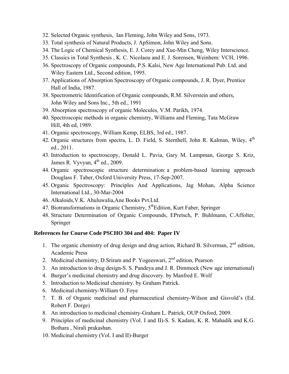- 32. Selected Organic synthesis, Ian Fleming, John Wiley and Sons, 1973.
- 33. Total synthesis of Natural Products, J. ApSimon, John Wiley and Sons.
- 34. The Logic of Chemical Synthesis, E. J. Corey and Xue-Min Cheng, Wiley Interscience.
- 35. Classics in Total Synthesis , K. C. Nicolaou and E. J. Sorensen, Weinhem: VCH, 1996.
- 36. Spectroscopy of Organic compounds, P.S. Kalsi, New Age International Pub. Ltd. and Wiley Eastern Ltd., Second edition, 1995.
- 37. Applications of Absorption Spectroscopy of Organic compounds, J. R. Dyer, Prentice Hall of India, 1987.
- 38. Spectrometric Identification of Organic compounds, R.M. Silverstein and others, John Wiley and Sons Inc., 5th ed., 1991
- 39. Absorption spectroscopy of organic Molecules, V.M. Parikh, 1974.
- 40. Spectroscopic methods in organic chemistry, Williams and Fleming, Tata McGraw Hill, 4th ed, 1989.
- 41. Organic spectroscopy, William Kemp, ELBS, 3rd ed., 1987.
- 42. Organic structures from spectra, L. D. Field, S. Sternhell, John R. Kalman, Wiley,  $4<sup>th</sup>$ ed., 2011.
- 43. Introduction to spectroscopy, Donald L. Pavia, Gary M. Lampman, George S. Kriz, James R. Vyvyan,  $4<sup>th</sup>$  ed., 2009.
- 44. Organic spectroscopic structure determination: a problem-based learning approach Douglass F. Taber, Oxford University Press, 17-Sep-2007.
- 45. Organic Spectroscopy: Principles And Applications, Jag Mohan, Alpha Science International Ltd., 30-Mar-2004
- 46. Alkaloids,V.K. Ahuluwalia,Ane Books Pvt.Ltd.
- 47. Biotransformations in Organic Chemistry,  $5<sup>th</sup>$ Edition, Kurt Faber, Springer
- 48. Structure Determination of Organic Compounds, EPretsch, P. Buhlmann, C.Affolter, Springer

#### **References for Course Code PSCHO 304 and 404: Paper IV**

- 1. The organic chemistry of drug design and drug action, Richard B. Silverman,  $2<sup>nd</sup>$  edition, Academic Press
- 2. Medicinal chemistry, D.Sriram and P. Yogeeswari,  $2<sup>nd</sup>$  edition, Pearson
- 3. An introduction to drug design-S. S. Pandeya and J. R. Dimmock (New age international)
- 4. Burger's medicinal chemistry and drug discovery. by Manfred E. Wolf
- 5. Introduction to Medicinal chemistry. by Graham Patrick.
- 6. Medicinal chemistry-William O. Foye
- 7. T. B. of Organic medicinal and pharmaceutical chemistry-Wilson and Gisvold's (Ed. Robert F. Dorge)
- 8. An introduction to medicinal chemistry-Graham L. Patrick, OUP Oxford, 2009.
- 9. Principles of medicinal chemistry (Vol. I and II)-S. S. Kadam, K. R. Mahadik and K.G. Bothara , Nirali prakashan.
- 10. Medicinal chemistry (Vol. I and II)-Burger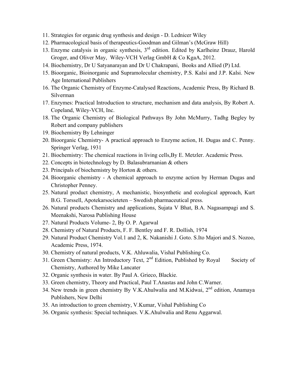- 11. Strategies for organic drug synthesis and design D. Lednicer Wiley
- 12. Pharmacological basis of therapeutics-Goodman and Gilman's (McGraw Hill)
- 13. Enzyme catalysis in organic synthesis, 3rd edition. Edited by Karlheinz Drauz, Harold Groger, and Oliver May, Wiley-VCH Verlag GmbH & Co KgaA, 2012.
- 14. Biochemistry, Dr U Satyanarayan and Dr U Chakrapani, Books and Allied (P) Ltd.
- 15. Bioorganic, Bioinorganic and Supramolecular chemistry, P.S. Kalsi and J.P. Kalsi. New Age International Publishers
- 16. The Organic Chemistry of Enzyme-Catalysed Reactions, Academic Press, By Richard B. Silverman
- 17. Enzymes: Practical Introduction to structure, mechanism and data analysis, By Robert A. Copeland, Wiley-VCH, Inc.
- 18. The Organic Chemistry of Biological Pathways By John McMurry, Tadhg Begley by Robert and company publishers
- 19. Biochemistry By Lehninger
- 20. Bioorganic Chemistry- A practical approach to Enzyme action, H. Dugas and C. Penny. Springer Verlag, 1931
- 21. Biochemistry: The chemical reactions in living cells,By E. Metzler. Academic Press.
- 22. Concepts in biotechnology by D. Balasubrarnanian & others
- 23. Principals of biochemistry by Horton & others.
- 24. Bioorganic chemistry A chemical approach to enzyme action by Herman Dugas and Christopher Penney.
- 25. Natural product chemistry, A mechanistic, biosynthetic and ecological approach, Kurt B.G. Torssell, Apotekarsocieteten – Swedish pharmaceutical press.
- 26. Natural products Chemistry and applications, Sujata V Bhat, B.A. Nagasampagi and S. Meenakshi, Narosa Publishing House
- 27. Natural Products Volume- 2, By O. P. Agarwal
- 28. Chemistry of Natural Products, F. F. Bentley and F. R. Dollish, 1974
- 29. Natural Product Chemistry Vol.1 and 2, K. Nakanishi J. Goto. S.Ito Majori and S. Nozoo, Academic Press, 1974.
- 30. Chemistry of natural products, V.K. Ahluwalia, Vishal Publishing Co.
- 31. Green Chemistry: An Introductory Text, 2<sup>nd</sup> Edition, Published by Royal Society of Chemistry, Authored by Mike Lancater
- 32. Organic synthesis in water. By Paul A. Grieco, Blackie.
- 33. Green chemistry, Theory and Practical, Paul T.Anastas and John C.Warner.
- 34. New trends in green chemistry By V.K.Ahulwalia and M.Kidwai, 2nd edition, Anamaya Publishers, New Delhi
- 35. An introduction to green chemistry, V.Kumar, Vishal Publishing Co
- 36. Organic synthesis: Special techniques. V.K.Ahulwalia and Renu Aggarwal.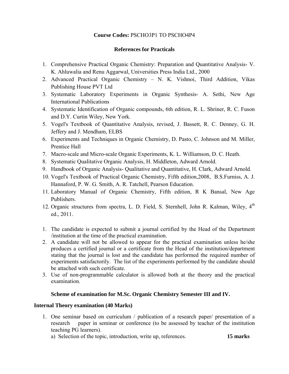# **Course Codes:** PSCHO3P1 TO PSCHO4P4

#### **References for Practicals**

- 1. Comprehensive Practical Organic Chemistry: Preparation and Quantitative Analysis- V. K. Ahluwalia and Renu Aggarwal, Universities Press India Ltd., 2000
- 2. Advanced Practical Organic Chemistry N. K. Vishnoi, Third Addition, Vikas Publishing House PVT Ltd
- 3. Systematic Laboratory Experiments in Organic Synthesis- A. Sethi, New Age International Publications
- 4. Systematic Identification of Organic compounds, 6th edition, R. L. Shriner, R. C. Fuson and D.Y. Curtin Wiley, New York.
- 5. Vogel's Textbook of Quantitative Analysis, revised, J. Bassett, R. C. Denney, G. H. Jeffery and J. Mendham, ELBS
- 6. Experiments and Techniques in Organic Chemistry, D. Pasto, C. Johnson and M. Miller, Prentice Hall
- 7. Macro-scale and Micro-scale Organic Experiments, K. L. Williamson, D. C. Heath.
- 8. Systematic Qualitative Organic Analysis, H. Middleton, Adward Arnold.
- 9. Handbook of Organic Analysis- Qualitative and Quantitative, H. Clark, Adward Arnold.
- 10. Vogel's Textbook of Practical Organic Chemistry, Fifth edition,2008, B.S.Furniss, A. J. Hannaford, P. W. G. Smith, A. R. Tatchell, Pearson Education.
- 11. Laboratory Manual of Organic Chemistry, Fifth edition, R K Bansal, New Age Publishers.
- 12. Organic structures from spectra, L. D. Field, S. Sternhell, John R. Kalman, Wiley, 4<sup>th</sup> ed., 2011.
- 1. The candidate is expected to submit a journal certified by the Head of the Department /institution at the time of the practical examination.
- 2. A candidate will not be allowed to appear for the practical examination unless he/she produces a certified journal or a certificate from the Head of the institution/department stating that the journal is lost and the candidate has performed the required number of experiments satisfactorily. The list of the experiments performed by the candidate should be attached with such certificate.
- 3. Use of non-programmable calculator is allowed both at the theory and the practical examination.

#### **Scheme of examination for M.Sc. Organic Chemistry Semester III and IV.**

#### **Internal Theory examination (40 Marks)**

1. One seminar based on curriculum / publication of a research paper/ presentation of a research paper in seminar or conference (to be assessed by teacher of the institution teaching PG learners).

a) Selection of the topic, introduction, write up, references. **15 marks**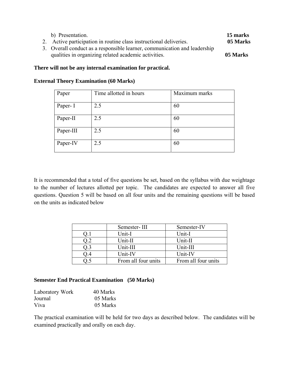| b) Presentation.<br>2. Active participation in routine class instructional deliveries.                                            | 15 marks<br>05 Marks |
|-----------------------------------------------------------------------------------------------------------------------------------|----------------------|
| 3. Overall conduct as a responsible learner, communication and leadership<br>qualities in organizing related academic activities. | 05 Marks             |

#### **There will not be any internal examination for practical.**

| Paper     | Time allotted in hours | Maximum marks |
|-----------|------------------------|---------------|
| Paper- I  | 2.5                    | 60            |
| Paper-II  | 2.5                    | 60            |
| Paper-III | 2.5                    | 60            |
| Paper-IV  | 2.5                    | 60            |

#### **External Theory Examination (60 Marks)**

It is recommended that a total of five questions be set, based on the syllabus with due weightage to the number of lectures allotted per topic. The candidates are expected to answer all five questions. Question 5 will be based on all four units and the remaining questions will be based on the units as indicated below

| Semester-III        | Semester-IV         |
|---------------------|---------------------|
| Unit-I              | Unit-I              |
| Unit-II             | Unit-II             |
| Unit-III            | Unit-III            |
| Unit-IV             | Unit-IV             |
| From all four units | From all four units |

#### **Semester End Practical Examination (50 Marks)**

| Laboratory Work | 40 Marks |
|-----------------|----------|
| Journal         | 05 Marks |
| Viva            | 05 Marks |

The practical examination will be held for two days as described below. The candidates will be examined practically and orally on each day.